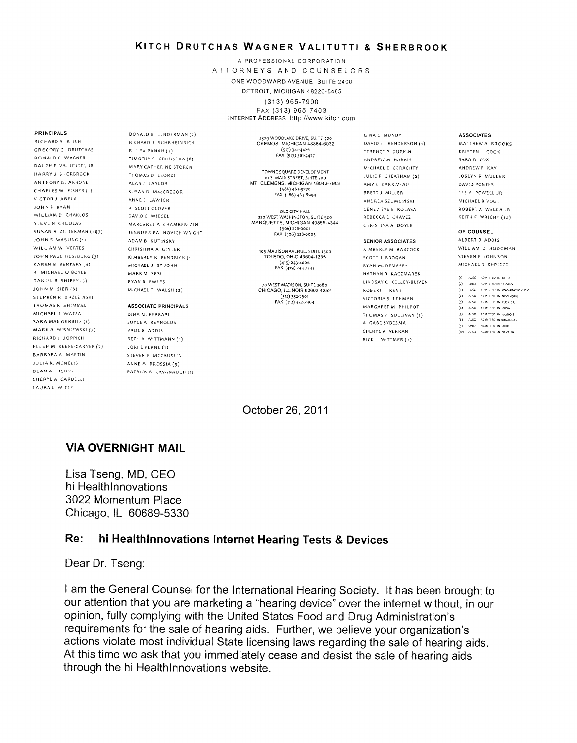### KITGH DRUTcHAs WAGNER VALITUTTI 8 SHERBRooK

<sup>A</sup>PROFESSIONAL CORPORATION ATTORNEYS AND COUNSELORS ONE WOODWARD AVENUE, SUITE 2400 DETROIT, MICHIGAN 48228-5485

(313) 966-7900 FAX (313) 965-7403 INTERNET ADDRESS http //www kitch com

#### 2379 WOODLAKE DRIVE, SUITE 400 OKEMOS, MICHIGAN 48864-6032 (517) 381-4426 FAX (517) 381-4427

TOWNE SQUARE DEVELOPMENT<br>10.5. MAIN STREET SUITE 200 10 5 MAIN STREET, SUITE 200 MT CLEMENS, MICHIGAN 46043-7903 (586) 463. 977o FAX (586) 463-Bggg

OLD CITY HALL 220 WEST WASHINGTON, SUITE SOO MARQUETTE, MICHIGAN 49855-4344 (906) 228-0001 FAX. (906) 228-0003

4O5 MADISON AVENUE, SUITE ISOO TOLEDO, OHIO 43604-1235 (419) 243. 4oo6 FAX (419) 243-7333

70 WEST MADISON, SUITE 2080<br>CHICAGO, ILLINOIS 60602-4252 (312) 332 7901 FAX (312) 332-7903

GINA C MUNDY DAVID T HENDERSON (1) TERENCE P DURKIN ANDREW M HARRIS MICHAEL E GERAGHTY JULIE F CHEATHAM (2) AMY L CARRIVEAU BRETT *1 MILLER* ANDREA SZUMLINSKI GENEVIEVE E KOLASA REBECCA E CHAVEZ CHRISTINA A DOYLE

#### SENiOR ASSOCIATES

KIMBERLY M BABCOCK SCOTT J BROGAN RYAN M. DEMPSEY NATHAN R KACZMAREK LINDSAY C KELLEY-BLIVEN ROBERT T KENT VICTORIA 5 LEHMAN MARGARET M PHILPOT THOMAS P SULLIVAN (1) A GABE SYBESMA CHERYL A VERRAN RICK J WITTMER (2)

**ASSOCIATES** 

MATTHEW A BROOKS KRISTEN L COOK SARA D COX ANDREW F KAY JOSLYN R MULLER DAVtD PONTES LEE A POWELL JR MICHAEL R VOGT ROBERT A WELCH JR KEITH F WRIGHT (10)

#### OF COUNSEL

ALBERT 8 ADDIS WILLIAM **D** HODGMAN STEVEN E JOHNSON MICHAEL R SHPIECE

- (1) ALSO ADMITTED IN OHIC
- (2) ONLY ADMITTED IN ILLINOIS (3) ALSO ADMITTED IN WASHINGTON, D.C.
- (4) ALSO ADMITTED IN NEW YORK
- (5) ALSO ADMITTED IN FLOR<br>(6) ALSO ADMITTED IN IOWA (5) ALSO ADMITIED IN FLORIDA
- (7) ALSO ADM TTED IN ILLNOIS
- (5) ALSO ADM ITED IN ARKANSAS
- (9) ONLY ADMITTED IN OHIO ALSO ADMITTED IN NEVADA

October 26, 2011

## VIA OVERNIGHT MAIL

DONALD 8 LENDERMAN (7) RICHARD J SUIIRHEINRICH <sup>R</sup>LISA PANAH (7) TIMOTHY 5 GROUSTRA (8) MARY CATHERINE STOREN THOMAS D ESDRDI ALAN J TAYLOR SUSAN D MACGREGOR ANNE E LAWTER R SCOTT CLOVER DAVtD C WIEGEL

MARGARET A CHAMBERLAIN JENNIFER PAUNOVICH WRIGHT ADAM 8 KUTINSKY CHRISTINA A CtNTER KIMBERLY K PENDRICK (I) MICHAEL J ST JOHN MARK M SESI RYAN D EWLES MICHAEL T WALSH (2) ASSOCIATE PRINCIPALS DfNA M. FERRARI JOYCE A REYNOLDS PAUL **B** ADDIS BETH A WITTMANN (1) LORI L PERNE (1) STEVEN P MCCAUSLIN ANNE M BROSSIA (g) PATRICK B CAVANAUGH (1)

Lisa Tseng, MD, CEO hi Healthlnnovations 3022 Momentum Place Chicago, IL 60689-5330

### Re: hi Healthlnnovations Internet Hearing Tests 8 Devices

Dear Dr. Tseng:

<sup>I</sup>am the General Counsel for the International Hearing Society. It has been brought to our attention that you are marketing a "hearing device" over the internet without, in our opinion, fully complying with the United States Food and Drug Administration's requirements for the sale of hearing aids. Further, we believe your organization's actions violate most individual State licensing laws regarding the sale of hearing aids. At this time we ask that you immediately cease and desist the sale of hearing aids through the hi Healthlnnovations website.

RICHARD A KITCH GREGORY G DRUTCHAS RONALD E WAGNER RALPH F VALITUTTI, JR HARRY J SHERBROOK ANTHONY G. ARNONE CHARLES W FISHER (1) VICTOR J ABELA JOHN P RYAN WILLIAM D CHAKLOS STEVE N CHEOLAS SUSAN H ZITTERMAN (1)(7) JOHN 5 WASUNG (1) WILLIAM W VERTES JOHN PAUL HESSBURG (3) KAREN 8 BERKERY (4) <sup>R</sup>MICHAEL O'BDYLE DANIEL R SHIREY (5) JOHN M StER (6) STEPHEN R BRZEZINSKI THOMAS R SHIMMEL MICHAEL J WATZA SARA MAE GERBITZ (t) MARK A WISNIEWSKI (7) RICHARD J JOPPfCH ELLEN M KEEFE-GARNER (7) BARBARA A MARTIN JULIA K. MCNELIS DEAN A ETSIOS CHERYL A CARDELLI LAURA L WITTY

PRINCIPALS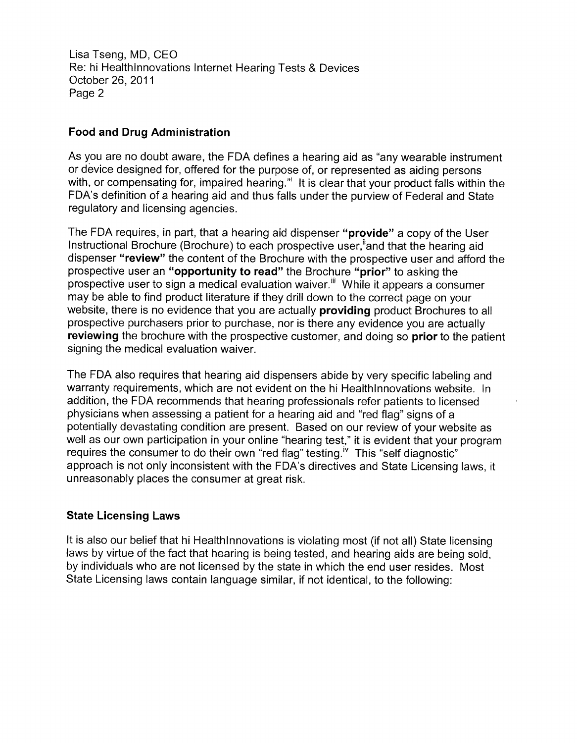Lisa Tseng, MD, CEO Re: hi Healthlnnovations Internet Hearing Tests 8 Devices October 26, 2011 Page 2

# Food and Drug Administration

As you are no doubt aware, the FDA defines a hearing aid as "any wearable instrument or device designed for, offered for the purpose of, or represented as aiding persons with, or compensating for, impaired hearing." It is clear that your product falls within the FDA's definition of a hearing aid and thus falls under the purview of Federal and State regulatory and licensing agencies.

The FDA requires, in part, that a hearing aid dispenser "**provide**" a copy of the User Instructional Brochure (Brochure) to each prospective user, and that the hearing aid dispenser "review" the content of the Brochure with the prospective user and afford the prospective user an "opportunity to read" the Brochure "prior" to asking the prospective user to sign a medical evaluation waiver.<sup>"</sup> While it appears a consumer may be able to find product literature if they drill down to the correct page on your website, there is no evidence that you are actually **providing** product Brochures to all prospective purchasers prior to purchase, nor is there any evidence you are actually **reviewing** the brochure with the prospective customer, and doing so **prior** to the patient signing the medical evaluation waiver.

The FDA also requires that hearing aid dispensers abide by very specific labeling and warranty requirements, which are not evident on the hi Healthlnnovations website. In addition, the FDA recommends that hearing professionals refer patients to licensed physicians when assessing a patient for a hearing aid and "red flag" signs of a potentially devastating condition are present. Based on our review of your website as I as our own participation in your online "hearing test," it is evident that your program<br>requires the consumer to do their own "red flag" testing.<sup>Iv</sup> This "self diagnostic" approach is not only inconsistent with the FDA's directives and State Licensing laws, it unreasonably places the consumer at great risk.

## State Licensing Laws

It is also our belief that hi Healthlnnovations is violating most (if not all} State licensing laws by virtue of the fact that hearing is being tested, and hearing aids are being sold, by individuals who are not licensed by the state in which the end user resides. Most State Licensing laws contain language similar, if not identical, io the following: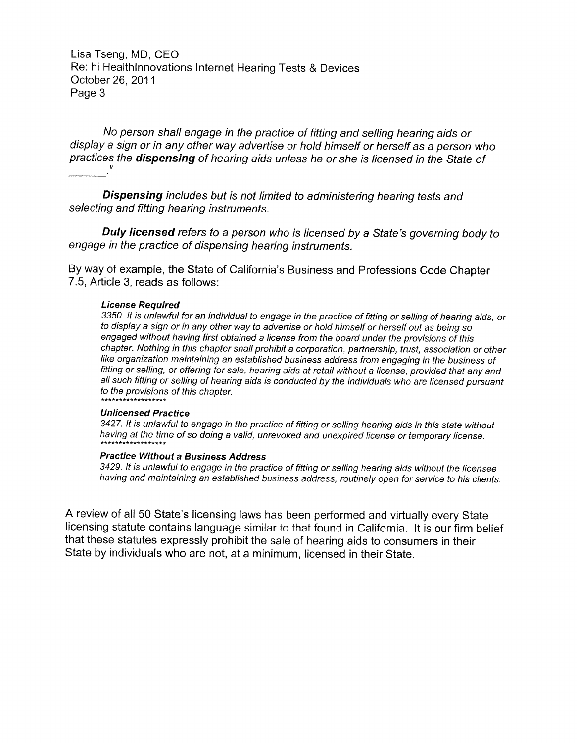Lisa Tseng, MD, CEO Re: hi Healthlnnovations Internet Hearing Tests 8 Devices October 26, 2011 Page 3

No person shall engage in the practice of fifting and selling hearing aids or display a sign or in any other way advertise or hold himself or herself as a person who practices the **dispensing** of hearing aids unless he or she is licensed in the State of

**Dispensing** includes but is not limited to administering hearing tests and selecting and fitting hearing instruments.

Duly licensed refers to a person who is licensed by a State's governing body to engage in the practice of dispensing hearing instruments.

By way of example, the State of California's Business and Professions Code Chapter 7. 5, Article 3, reads as follows:

#### License Required

3350. It is unlawful for an individual to engage in the practice of fitting or selling of hearing aids, or to display a sign or in any other way to advertise or hold himself or herself out as being so engaged without having first obtained a license from the board under the provisions of this chapter. Nothing in this chapter shall prohibit a corporation, partnership, trust, association or other like organization maintaining an established business address from engaging in the business of fitting or selling, or offering for sale, hearing aids at retail without a license, provided that any and all such fitting or selling of hearing aids is conducted by the individuals who are licensed pursuant to the provisions of this chapter.

#### Unlicensed Practice

3427. It is unlawful to engage in the practice of fitting or selling hearing aids in this state without having at the time of so doing a valid, unrevoked and unexpired license or temporary license.

#### Practice Without a Business Address

3429. It is unlawful to engage in the practice of fitting or selling hearing aids without the licensee having and maintaining an established business address, routinely open for service to his clients.

<sup>A</sup>review of all 50 State's licensing laws has been performed and virtually every State licensing statute contains language similar to that found in California. It is our firm belief that these statutes expressly prohibit the sale of hearing aids to consumers in their State by individuals who are not, at a minimum, licensed in their State.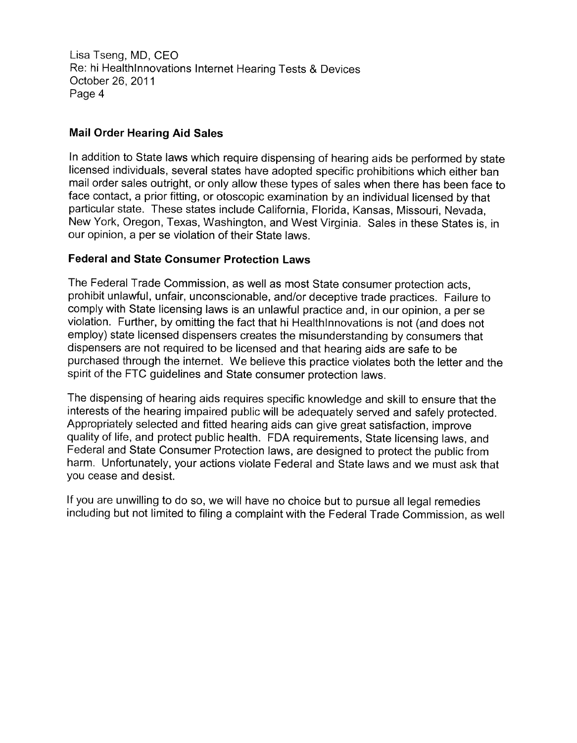Lisa Tseng, MD, CEO Re: hi Healthlnnovations internet Hearing Tests 8 Devices October 26, 2011 Page 4

# Mail Order Hearing Aid Sales

In addition to State laws which require dispensing of hearing aids be performed by state licensed individuals, several states have adopted specific prohibitions which either ban mail order sales outright, or only allow these types of sales when there has been face to face contact, a prior fitting, or otoscopic examination by an individual licensed by that particular state. These states include California, Florida, Kansas, Missouri, Nevada, New York, Oregon, Texas, Washington, and West Virginia. Sales in these States is, in our opinion, a per se violation of their State laws.

## Federal and State Consumer Protection Laws

The Federal Trade Commission, as well as most State consumer protection acts, prohibit unlawful, unfair, unconscionable, and/or deceptive trade practices. Failure to comply with State licensing laws is an unlawful practice and, in our opinion, a per se violation. Further, by omitting the fact that hi Healthlnnovations is not (and does not employ) state licensed dispensers creates the misunderstanding by consumers that dispensers are not required to be licensed and that hearing aids are safe to be purchased through the internet. We believe this practice violates both the letter and the spirit of the FTC guidelines and State consumer protection laws.

The dispensing of hearing aids requires specific knowledge and skill to ensure that the interests of the hearing impaired public will be adequately served and safely protected. Appropriately selected and fitted hearing aids can give great satisfaction, improve quality of life, and protect public health. FDA requirements, State licensing laws, and Federal and State Consumer Protection laws, are designed to protect the public from harm. Unfortunately, your actions violate Federal and State laws and we must ask that you cease and desist.

If you are unwilling to do so, we will have no choice but to pursue all legal remedies including but not limited to filing a complaint with the Federal Trade Commission, as well